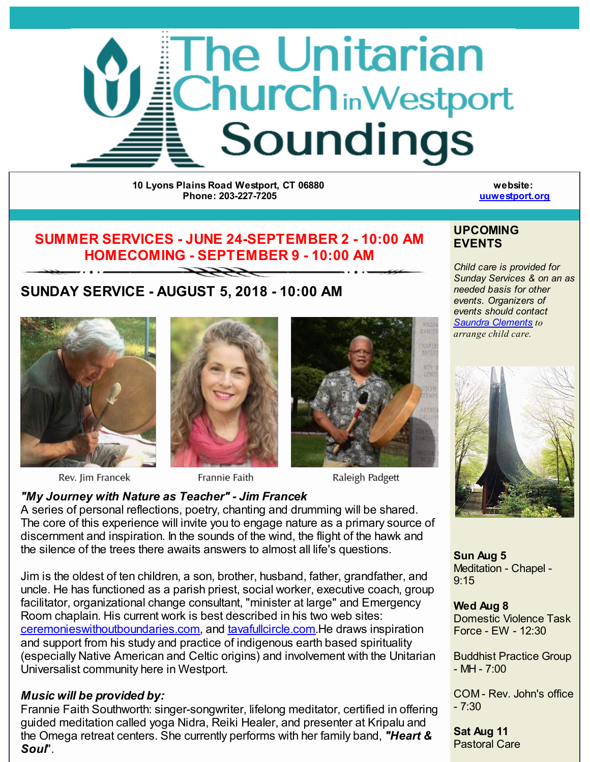

**10 Lyons Plains Road Westport, CT 06880 Phone: 203-227-7205**

**website: [uuwestport.org](http://r20.rs6.net/tn.jsp?f=0013VKZ93rJ5BTxEqbukG9IBRulb0mNAC04-isTyXNavlMfGyJ7yHbIyBICyzWix5tcs9hqZZZS6Rgi0e4fSdjmYrke_3ARJlZODDfOaY63fBWxH4HY4xvoF0HZZRmNo-9egmyToEzruCF2En1BASNd2zlU2l2bbMChuIXHnM4aaUoPEo2wZBCA9XgHvXzPjeKtpzHhI0eHferUjAw7bkEL9XVrSSr4ZZAg9WGwbHIPP4lU43fmCGLeRoTAiE-0UBqMVRQeaJjK4pTD0fL2FHX5_kni4pgRFhVw8lrYVpgrcBEr7PZw8nlZjkhd-u9EsDSetBHi99YlhoNUSf9zTyFLKw==&c=&ch=)**

# **SUMMER SERVICES - JUNE 24-SEPTEMBER 2 - 10:00 AM HOMECOMING - SEPTEMBER 9 - 10:00 AM**

 $\rightarrow$ 

# **SUNDAY SERVICE - AUGUST 5, 2018 - 10:00 AM**



Rev. Jim Francek



Frannie Faith



Raleigh Padgett

## *"My Journey with Nature as Teacher" - Jim Francek* A series of personal reflections, poetry, chanting and drumming will be shared.

The core of this experience will invite you to engage nature as a primary source of discernment and inspiration. In the sounds of the wind, the flight of the hawk and the silence of the trees there awaits answers to almost all life's questions.

Jim is the oldest of ten children, a son, brother, husband, father, grandfather, and uncle. He has functioned as a parish priest, social worker, executive coach, group facilitator, organizational change consultant, "minister at large" and Emergency Room chaplain. His current work is best described in his two web sites: [ceremonieswithoutboundaries.com](http://r20.rs6.net/tn.jsp?f=0013VKZ93rJ5BTxEqbukG9IBRulb0mNAC04-isTyXNavlMfGyJ7yHbIyOVlXXsHTQfdjnQKxzn7hAueqa8egKsmAbE51T0SF9M6XwTxS1GJeaZ93IwNw7CgkdAumJOWpgpWcoDhe_AeEq6WfUSaV1nYeHEKHhLU6byhQAz2cze6WFEMbWnVDraIRrTGLksSu4670UKvh0zdh0dNHRt0QxXdpXjka5QbtYx-8myq8uUUFLR8EABov3vKNYf98cNrQINuJzfZv0YftyP6sshuOcLqM23soBQAYU3CBZ6K1rx-uNyMtEAQJ4_labFBZooBY-Axz-0JAxgkRreXFL3PGOtnU4l2BqnczXrquaC1Jy-owQY=&c=&ch=), and [tavafullcircle.com](http://r20.rs6.net/tn.jsp?f=0013VKZ93rJ5BTxEqbukG9IBRulb0mNAC04-isTyXNavlMfGyJ7yHbIyOVlXXsHTQfdUZFiaztmmrqHB8bqL7eD-QQhkERzVWXKZl8DjuAJNLae6GYzmbtIbPGUXKOVsdCxTjadDEedhLPl4-gayp9XixmyTnmuzhChMXNK151vkJGsgGV7y2495fB5pOFxztctC6QUPeys9jGf6xUJHMqUUllHKaI0FfAqLugFWgyitsHnVs_ESPftO9Gc5JQMqsWDqKUH2fr7tKV_POwJV2GR-YRieQR5dOhyQjODqEzFgI2kkuAcRPkLnrgn3wCBqhl-AZsTFyWgCQpMYMYYiGaLkA==&c=&ch=).He draws inspiration and support from his study and practice of indigenous earth based spirituality (especially Native American and Celtic origins) and involvement with the Unitarian Universalist community here in Westport.

# *Music will be provided by:*

Frannie Faith Southworth: singer-songwriter, lifelong meditator, certified in offering guided meditation called yoga Nidra, Reiki Healer, and presenter at Kripalu and the Omega retreat centers. She currently performs with her family band, *"Heart & Soul*".

### **UPCOMING EVENTS**

*Child care is provided for Sunday Services & on an as needed basis for other events. Organizers of events should contact Saundra [Clements](mailto:saundra203@yahoo.com) to arrange child care.*



**Sun Aug 5** Meditation - Chapel - 9:15

**Wed Aug 8** Domestic Violence Task Force - EW - 12:30

Buddhist Practice Group  $-MH - 7:00$ 

COM - Rev. John's office  $-7:30$ 

**Sat Aug 11** Pastoral Care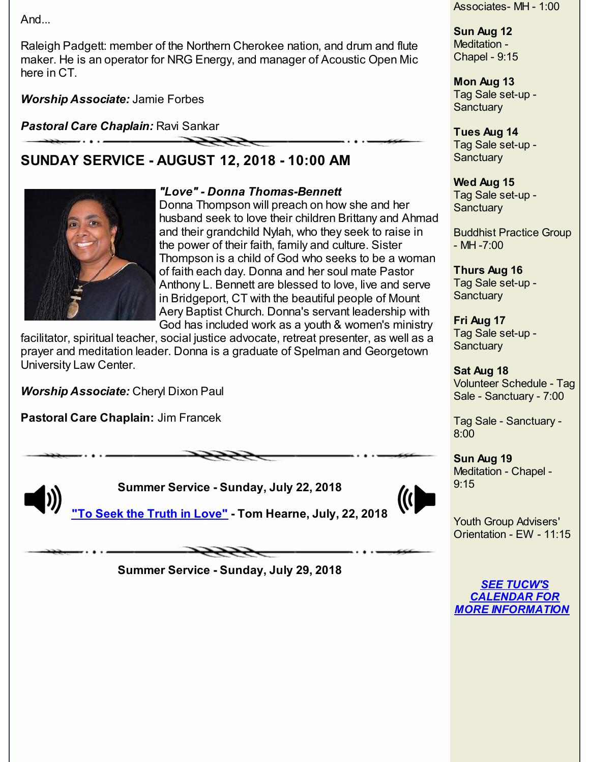And...

Raleigh Padgett: member of the Northern Cherokee nation, and drum and flute maker. He is an operator for NRG Energy, and manager of Acoustic Open Mic here in CT.

*Worship Associate:* Jamie Forbes

*Pastoral Care Chaplain:* Ravi Sankar

# **SUNDAY SERVICE - AUGUST 12, 2018 - 10:00 AM**



### *"Love" - Donna Thomas-Bennett*

Donna Thompson will preach on how she and her husband seek to love their children Brittany and Ahmad and their grandchild Nylah, who they seek to raise in the power of their faith, family and culture. Sister Thompson is a child of God who seeks to be a woman of faith each day. Donna and her soul mate Pastor Anthony L. Bennett are blessed to love, live and serve in Bridgeport, CT with the beautiful people of Mount Aery Baptist Church. Donna's servant leadership with God has included work as a youth & women's ministry

facilitator, spiritual teacher, social justice advocate, retreat presenter, as well as a prayer and meditation leader. Donna is a graduate of Spelman and Georgetown University Law Center.

*Worship Associate:* Cheryl Dixon Paul

**Pastoral Care Chaplain:** Jim Francek

**Summer Service - Sunday, July 22, 2018**



**"To Seek the Truth in [Love"](http://r20.rs6.net/tn.jsp?f=0013VKZ93rJ5BTxEqbukG9IBRulb0mNAC04-isTyXNavlMfGyJ7yHbIyOVlXXsHTQfdKyNhvMNedoL6lXtAGtV3pN4OxS19srNpT23c3mOJiZbff2lD6I7dp64qkeLFFffFobZMWgG1qeI677McWuygntI1ReYpScjXo6QcjNEr17wd1YrPDPY0gBLvWVWnFuqkSB9suZj4vuJx7BC5e86TQdjn-bfQQ9FQgZDUdUyxAXhQ0ZBpNL16RKz7EZX0LQ1ohgrtOh8-Q5lTq3MwPg5s0rcen3gw6KV_jLpx1AOJ9HUDoQeQFlXQCJsl4X6otnOJtat2_ezJ2lx-arjGuCzr9Hy-TZ2mkEZj7-WKNXyb1uJOVLzrgeOm1NY755fdXkCmfXz8DaLCv82ZKQ5Dpci6oe22G11774YD8HE209oSLlU=&c=&ch=) - Tom Hearne, July, 22, 2018**

**Summer Service - Sunday, July 29, 2018**

Associates- MH - 1:00

**Sun Aug 12** Meditation - Chapel - 9:15

**Mon Aug 13** Tag Sale set-up - **Sanctuary** 

#### **Tues Aug 14**

Tag Sale set-up - **Sanctuary** 

#### **Wed Aug 15**

Tag Sale set-up - **Sanctuary** 

Buddhist Practice Group  $-MH - 7:00$ 

**Thurs Aug 16** Tag Sale set-up - **Sanctuary** 

**Fri Aug 17** Tag Sale set-up - **Sanctuary** 

**Sat Aug 18** Volunteer Schedule - Tag Sale - Sanctuary - 7:00

Tag Sale - Sanctuary - 8:00

**Sun Aug 19** Meditation - Chapel - 9:15

Youth Group Advisers' Orientation - EW - 11:15

*SEE TUCW'S CALENDAR FOR MORE [INFORMATION](http://r20.rs6.net/tn.jsp?f=0013VKZ93rJ5BTxEqbukG9IBRulb0mNAC04-isTyXNavlMfGyJ7yHbIyHANGxZD3p0LSfs39ZTMdgB0I7gF2NGZ5eryh5Mg-9U3U1ud0rgLHPJzItDkSrAqo4jc-iHKNqtYEmBd4DxGL8j7lM7hRBi_Ga6POhHKDDVvIvRWEmJwgpuRuHCZcrDXJ1PrmIu8xR_J9NmT1-zwB0u0JGJu4-hx5JAjigoELfVpIeHcNFncp6FOEPa-TN6Fm_QpkrZBfwOahiztwYuV930ftN9aSafbos9a4grWaRk6BXrHbZFedclqv1bOGOt5VhqP8nyFkC4HKCUpE0NM0XNyW6ouKvasqy9Tp6LO8aEe&c=&ch=)*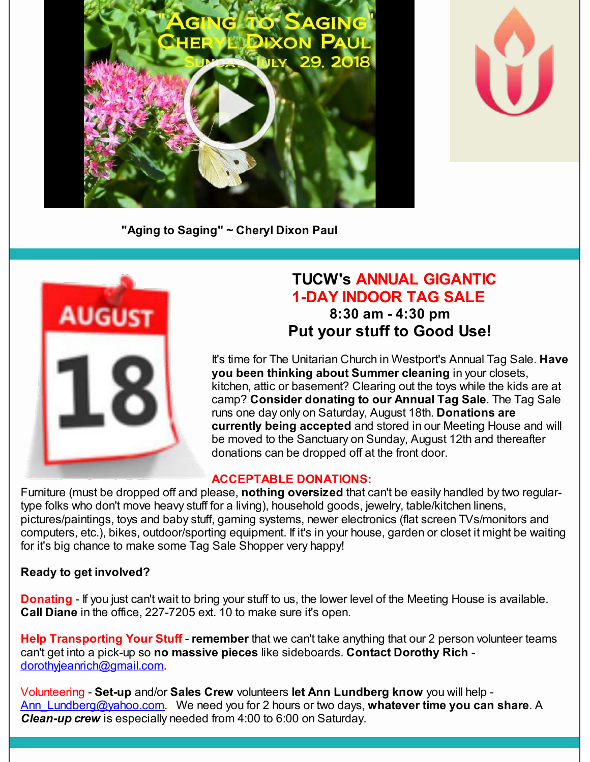



**"Aging to Saging" ~ Cheryl Dixon Paul**



# **TUCW's ANNUAL GIGANTIC 1-DAY INDOOR TAG SALE 8:30 am - 4:30 pm Put your stuff to Good Use!**

It's time for The Unitarian Church in Westport's Annual Tag Sale. **Have you been thinking about Summer cleaning** in your closets, kitchen, attic or basement? Clearing out the toys while the kids are at camp? **Consider donating to our Annual Tag Sale**. The Tag Sale runs one day only on Saturday, August 18th. **Donations are currently being accepted** and stored in our Meeting House and will be moved to the Sanctuary on Sunday, August 12th and thereafter donations can be dropped off at the front door.

#### **ACCEPTABLE DONATIONS:**

Furniture (must be dropped off and please, **nothing oversized** that can't be easily handled by two regulartype folks who don't move heavy stuff for a living), household goods, jewelry, table/kitchen linens, pictures/paintings, toys and baby stuff, gaming systems, newer electronics (flat screen TVs/monitors and computers, etc.), bikes, outdoor/sporting equipment. If it's in your house, garden or closet it might be waiting for it's big chance to make some Tag Sale Shopper very happy!

#### **Ready to get involved?**

**Donating** - If you just can't wait to bring your stuff to us, the lower level of the Meeting House is available. **Call Diane** in the office, 227-7205 ext. 10 to make sure it's open.

**Help Transporting Your Stuff** - **remember** that we can't take anything that our 2 person volunteer teams can't get into a pick-up so **no massive pieces** like sideboards. **Contact Dorothy Rich** [dorothyjeanrich@gmail.com](mailto:dorothyjeanrich@gmail.com).

Volunteering - **Set-up** and/or **Sales Crew** volunteers **let Ann Lundberg know** you will help - [Ann\\_Lundberg@yahoo.com](mailto:Ann_Lundberg@yahoo.com). We need you for 2 hours or two days, **whatever time you can share**. A *Clean-up crew* is especially needed from 4:00 to 6:00 on Saturday.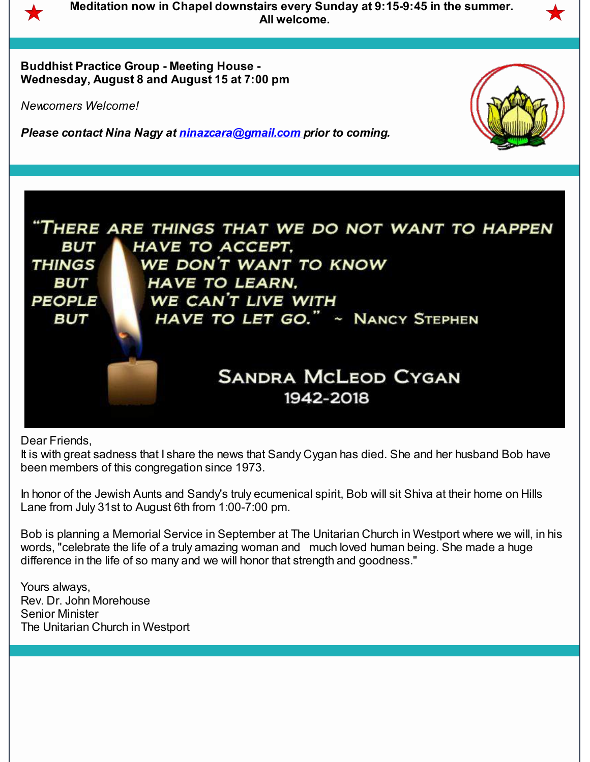

**Meditation now in Chapel downstairs every Sunday at 9:15-9:45 in the summer. All welcome.**

**Buddhist Practice Group - Meeting House - Wednesday, August 8 and August 15 at 7:00 pm**

*Newcomers Welcome!*

*Please contact Nina Nagy at [ninazcara@gmail.com](mailto:ninazcara@gmail.com) prior to coming.*





Dear Friends,

It is with great sadness that I share the news that Sandy Cygan has died. She and her husband Bob have been members of this congregation since 1973.

In honor of the Jewish Aunts and Sandy's truly ecumenical spirit, Bob will sit Shiva at their home on Hills Lane from July 31st to August 6th from 1:00-7:00 pm.

Bob is planning a Memorial Service in September at The Unitarian Church in Westport where we will, in his words, "celebrate the life of a truly amazing woman and much loved human being. She made a huge difference in the life of so many and we will honor that strength and goodness."

Yours always, Rev. Dr. John Morehouse Senior Minister The Unitarian Church in Westport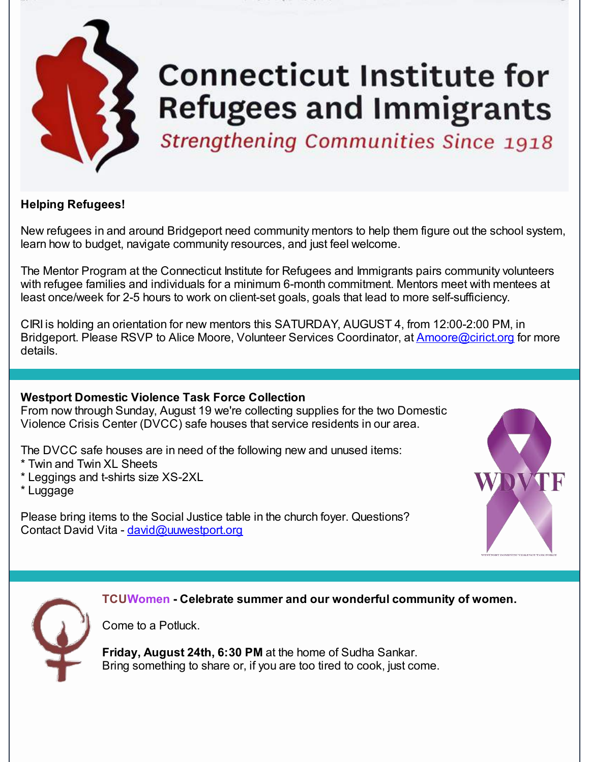

# **Connecticut Institute for Refugees and Immigrants**

**Strengthening Communities Since 1918** 

# **Helping Refugees!**

New refugees in and around Bridgeport need community mentors to help them figure out the school system, learn how to budget, navigate community resources, and just feel welcome.

The Mentor Program at the Connecticut Institute for Refugees and Immigrants pairs community volunteers with refugee families and individuals for a minimum 6-month commitment. Mentors meet with mentees at least once/week for 2-5 hours to work on client-set goals, goals that lead to more self-sufficiency.

CIRI is holding an orientation for new mentors this SATURDAY, AUGUST 4, from 12:00-2:00 PM, in Bridgeport. Please RSVP to Alice Moore, Volunteer Services Coordinator, at [Amoore@cirict.org](mailto:amoore@cirict.org) for more details.

## **Westport Domestic Violence Task Force Collection**

From now through Sunday, August 19 we're collecting supplies for the two Domestic Violence Crisis Center (DVCC) safe houses that service residents in our area.

The DVCC safe houses are in need of the following new and unused items:

- \* Twin and Twin XL Sheets
- \* Leggings and t-shirts size XS-2XL
- \* Luggage

Please bring items to the Social Justice table in the church foyer. Questions? Contact David Vita - [david@uuwestport.org](mailto:david@uuwestport.org)





**TCUWomen - Celebrate summer and our wonderful community of women.**

Come to a Potluck.

**Friday, August 24th, 6:30 PM** at the home of Sudha Sankar. Bring something to share or, if you are too tired to cook, just come.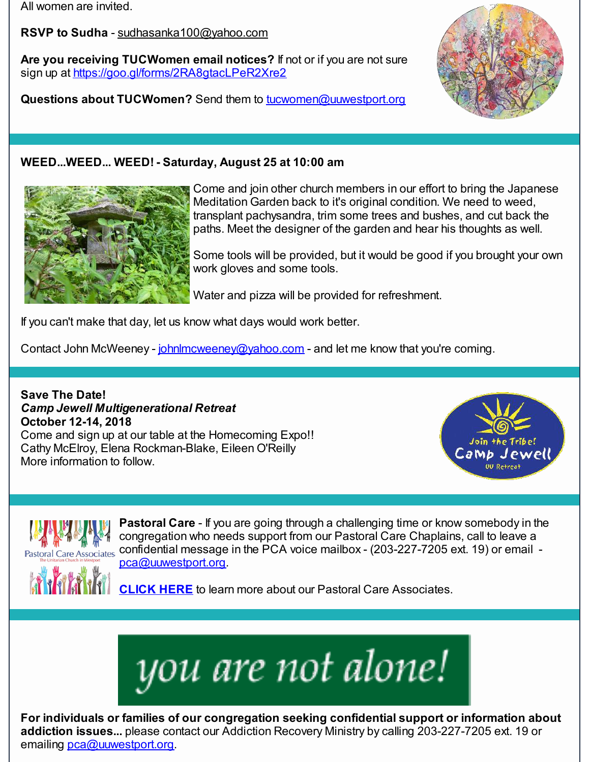All women are invited.

**RSVP to Sudha** - [sudhasanka100@yahoo.com](mailto:sudhasanka100@yahoo.com)

**Are you receiving TUCWomen email notices?** If not or if you are not sure sign up at [https://goo.gl/forms/2RA8gtacLPeR2Xre2](http://r20.rs6.net/tn.jsp?f=0013VKZ93rJ5BTxEqbukG9IBRulb0mNAC04-isTyXNavlMfGyJ7yHbIyOVlXXsHTQfdgMMkNxRt9URICRQB4Cr3UYhbZMkOqze5Z0ujAhB4ssDXs45X4mtBD6avDJEIw4FkX27R9ArJMkg80cb42zZz1jG8gSAC0e4D8WQEQ-ssNaWgZo2h7h3zNcl2JWNX14w4wA33lek8w1g8hoIyb3L9MSjKGlsnZ7XFZNIpoaLsDYf1wNPaQ8N_b5A8j8QPoe4uySJVufao18b_IjSxEM3Xejq9Plfj84hadGYTovEkHbmuaZ4J743VxThA61RBPvrL1sFdKadWvqUgbZ2ui-DUNyVn8usNrVtiAjy--OvMMsQ=&c=&ch=)

**Questions about TUCWomen?** Send them to [tucwomen@uuwestport.org](mailto:tucwomen@uuwestport.org)



# **WEED...WEED... WEED! - Saturday, August 25 at 10:00 am**



Come and join other church members in our effort to bring the Japanese Meditation Garden back to it's original condition. We need to weed, transplant pachysandra, trim some trees and bushes, and cut back the paths. Meet the designer of the garden and hear his thoughts as well.

Some tools will be provided, but it would be good if you brought your own work gloves and some tools.

Water and pizza will be provided for refreshment.

If you can't make that day, let us know what days would work better.

Contact John McWeeney - [johnlmcweeney@yahoo.com](mailto:johnlmcweeney@yahoo.com) - and let me know that you're coming.

**Save The Date!** *Camp Jewell Multigenerational Retreat* **October 12-14, 2018** Come and sign up at our table at the Homecoming Expo!! Cathy McElroy, Elena Rockman-Blake, Eileen O'Reilly More information to follow.





**Pastoral Care** - If you are going through a challenging time or know somebody in the congregation who needs support from our Pastoral Care Chaplains, call to leave a confidential message in the PCA voice mailbox - (203-227-7205 ext. 19) or email [pca@uuwestport.org](mailto:pca@uuwestport.org).

**[CLICK](http://r20.rs6.net/tn.jsp?f=0013VKZ93rJ5BTxEqbukG9IBRulb0mNAC04-isTyXNavlMfGyJ7yHbIyAHoeOLZBVE3swgtZvLr_W3sM-r9B6ksdY4IyMEUJ3mNGtx3jzCR-5LTd0yrSZ55YLp8ujyehZ7MST6VRXPgxb8jNgFdUG25SK5zj6b89L4prXkZMB-79NFy_x3tGJfvPjoYGmG2c0PbM86qR8_xNTCaT3GKIyTGgZe-7xO74ZlTxJj037mx5oQTKWDuZEEGbTrGvSzwMGWgxxpmNwDSJkemTYYuyJ6-e-m2cz4N-1cxWlxDBnBNOr8Ipu_9PEf94bizYoAcX-rJzm6ziRsTra84HETt-Jpcs3hq-fWKFG8N6WeI7SNMxVqXKxoDe5PD9CvOS5O-O-pczcTJ3szxDT8=&c=&ch=) HERE** to learn more about our Pastoral Care Associates.



**For individuals or families of our congregation seeking confidential support or information about addiction issues...** please contact our Addiction Recovery Ministry by calling 203-227-7205 ext. 19 or emailing [pca@uuwestport.org](mailto:pca@uuwestport.org).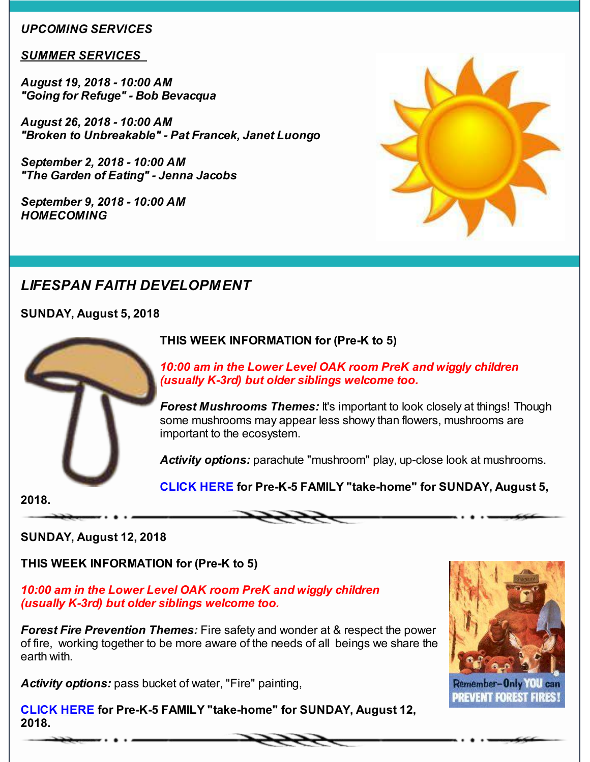#### *UPCOMING SERVICES*

#### *SUMMER SERVICES*

*August 19, 2018 - 10:00 AM "Going for Refuge" - Bob Bevacqua*

*August 26, 2018 - 10:00 AM "Broken to Unbreakable" - Pat Francek, Janet Luongo*

*September 2, 2018 - 10:00 AM "The Garden of Eating" - Jenna Jacobs*

*September 9, 2018 - 10:00 AM HOMECOMING*



# *LIFESPAN FAITH DEVELOPMENT*

**SUNDAY, August 5, 2018**



## **THIS WEEK INFORMATION for (Pre-K to 5)**

*10:00 am in the Lower Level OAK room PreK and wiggly children (usually K-3rd) but older siblings welcome too.*

*Forest Mushrooms Themes:* It's important to look closely at things! Though some mushrooms may appear less showy than flowers, mushrooms are important to the ecosystem.

*Activity options:* parachute "mushroom" play, up-close look at mushrooms.

**[CLICK](http://r20.rs6.net/tn.jsp?f=0013VKZ93rJ5BTxEqbukG9IBRulb0mNAC04-isTyXNavlMfGyJ7yHbIyOVlXXsHTQfd87_8BKth20HZp7-JyS0GCk28ADVL5JnIDHLxYBg0QU-P7fuAuEENy2ghSQQEQuSUr6D0Yu8notkqYnUVkVGwoljLovb6TKlxqjwkAglfrRQ8GAEPxnwnOWFDAomDY8yGq1-YrswJIA5K7lm0ZIgNMH2FOo0Opn4xBePJ72zN4-OTn7NcPcXPAbf8GkBOSRZdpjW_NZ-9MeTMfZCUM42upTcl83rDZCCo6jSjd_8evmwrH9jclQGg4XyEpMZqq2LVRvjkRTAHD74PBRyBc8_c0aAxrAH5SErd4ixcLsGOwTDdFlYO8X2sCaB1H_4LM8b4x4JyWJY5XWRE4Nh5_UKJVHB1JVTKAMLGOR5YwsU4ko4=&c=&ch=) HERE for Pre-K-5 FAMILY "take-home" for SUNDAY, August 5,**

**2018.**

**SUNDAY, August 12, 2018**

**THIS WEEK INFORMATION for (Pre-K to 5)**

*10:00 am in the Lower Level OAK room PreK and wiggly children (usually K-3rd) but older siblings welcome too.*

*Forest Fire Prevention Themes:* Fire safety and wonder at & respect the power of fire, working together to be more aware of the needs of all beings we share the earth with.

*Activity options:* pass bucket of water, "Fire" painting,

**[CLICK](http://r20.rs6.net/tn.jsp?f=0013VKZ93rJ5BTxEqbukG9IBRulb0mNAC04-isTyXNavlMfGyJ7yHbIyOVlXXsHTQfdQseAmhiqFQFqPHZ_9PsFUgK3CG3f9byH2vsAob5sgghv_tgxLC6J6nlg3bfF-oh27v3gE_2uQaa_SMggE9Cxh1xVFSaWz16-gcTUBBHYvsYEec0mCYf4oWcYBD5Spm6vBa45PmOvatdKvaEUIOdYAfk3aL4NpP0xLQ4Avq-ANUB4mQ89bI9oWFtkCpa1Y4-cs13DU8DjkiXQFLkkTPREETKbihNdai2l2FW3-O0dmpcr7eCbE8_s1izhb9ZpQNwXWxIDzD-WB7Dd77Upi_gCsZ2p_46fqiZihgp91_wX5SeLExEL-lI758CQWjXPZF1EIN4VNTCeY4htaXJzQMcttS_2T-CproZXuTwz5ewnI7o=&c=&ch=) HERE for Pre-K-5 FAMILY "take-home" for SUNDAY, August 12, 2018.**



#### Remember-Only **PREVENT FOREST FIRES!**